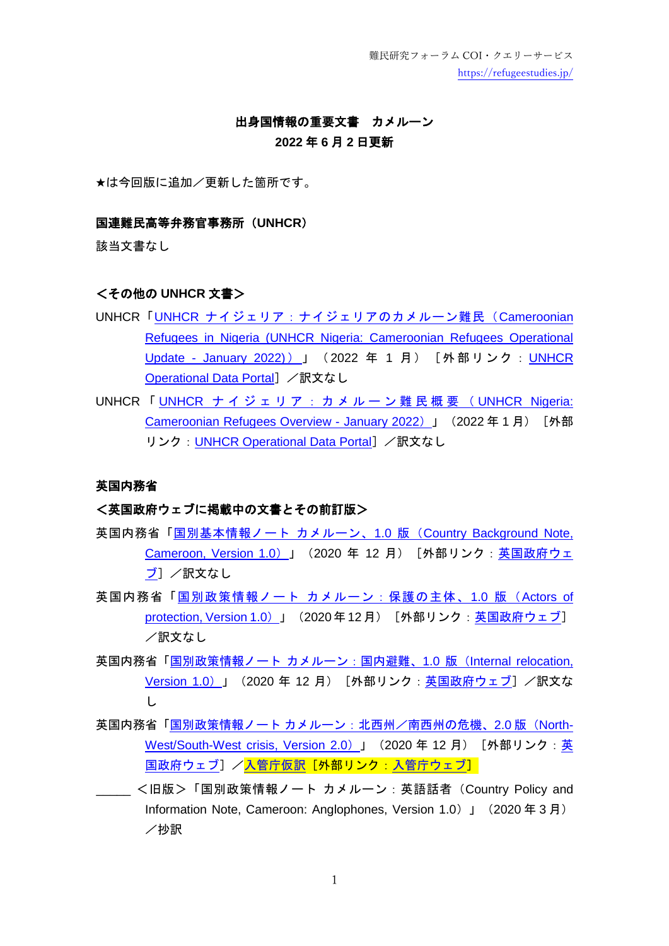難民研究フォーラム COI・クエリーサービス <https://refugeestudies.jp/>

# 出身国情報の重要文書 カメルーン

## **2022** 年 **6** 月 **2** 日更新

★は今回版に追加/更新した箇所です。

### 国連難民高等弁務官事務所(**UNHCR**)

該当文書なし

### <その他の **UNHCR** 文書>

- UNHCR「UNHCR [ナイジェリア:ナイジェリアのカメルーン難民\(](https://data2.unhcr.org/en/documents/details/91026)Cameroonian [Refugees in Nigeria \(UNHCR Nigeria: Cameroonian Refugees Operational](https://data2.unhcr.org/en/documents/details/91026)  Update - [January 2022\)](https://data2.unhcr.org/en/documents/details/91026))」 (2022 年 1 月) [外部リンク: UNHCR [Operational Data Portal](https://data2.unhcr.org/en/situations)] /訳文なし
- UNHCR 「 UNHCR ナイジェリア : カメルーン難民概要 ( UNHCR Nigeria: [Cameroonian Refugees Overview -](https://data2.unhcr.org/en/documents/details/90830) January 2022) 」 (2022年1月) [外部 リンク: [UNHCR Operational Data Portal](https://data2.unhcr.org/en/situations)] /訳文なし

#### 英国内務省

## <英国政府ウェブに掲載中の文書とその前訂版>

- 英国内務省「国別基本情報ノート カメルーン、1.0 版([Country Background Note,](https://assets.publishing.service.gov.uk/government/uploads/system/uploads/attachment_data/file/948164/Cameroon_-_Background_-_CPIN_-_v1.0__final__Gov.uk.pdf)  [Cameroon, Version 1.0](https://assets.publishing.service.gov.uk/government/uploads/system/uploads/attachment_data/file/948164/Cameroon_-_Background_-_CPIN_-_v1.0__final__Gov.uk.pdf))」(2020 年 12 月)[外部リンク[:英国政府ウェ](https://www.gov.uk/government/collections/country-policy-and-information-notes) [ブ\]](https://www.gov.uk/government/collections/country-policy-and-information-notes) /訳文なし
- 英国内務省「国別政策情報ノート [カメルーン:保護の主体、](https://assets.publishing.service.gov.uk/government/uploads/system/uploads/attachment_data/file/948168/Cameroon_-_AofP_-_CPIN_-_v1.0__final__Gov.uk.pdf)1.0 版 (Actors of [protection, Version 1.0](https://assets.publishing.service.gov.uk/government/uploads/system/uploads/attachment_data/file/948168/Cameroon_-_AofP_-_CPIN_-_v1.0__final__Gov.uk.pdf)) 」 (2020年12月) [外部リンク[:英国政府ウェブ\]](https://www.gov.uk/government/collections/country-policy-and-information-notes) /訳文なし
- 英国内務省「国別政策情報ノート [カメルーン:国内避難、](https://assets.publishing.service.gov.uk/government/uploads/system/uploads/attachment_data/file/948170/Cameroon_-_Internal_relocation_-_CPIN_-_V1.0__Final__Gov.uk.pdf)1.0 版(Internal relocation, [Version](https://assets.publishing.service.gov.uk/government/uploads/system/uploads/attachment_data/file/948170/Cameroon_-_Internal_relocation_-_CPIN_-_V1.0__Final__Gov.uk.pdf) 1.0) 」 (2020 年 12 月) [外部リンク: 英国政府ウェブ] /訳文な し
- 英国内務省「国別政策情報ノート カメルーン : 北西州/南西州の危機、2.0 版 (North-[West/South-West crisis, Version 2.0](https://assets.publishing.service.gov.uk/government/uploads/system/uploads/attachment_data/file/944073/Cameroon_-_North-West_South-West_crisis_-_CPIN_-_v2.0_.pdf)) 」 (2020 年 12 月) [外部リンク: 英 [国政府ウェブ\]](https://www.gov.uk/government/collections/country-policy-and-information-notes) /入管庁仮訳 [外部リンク[:入管庁ウェブ\]](https://www.moj.go.jp/isa/publications/materials/nyuukokukanri03_00045.html)
- <旧版>「国別政策情報ノート カメルーン:英語話者(Country Policy and Information Note, Cameroon: Anglophones, Version 1.0)」(2020 年 3 月) /抄訳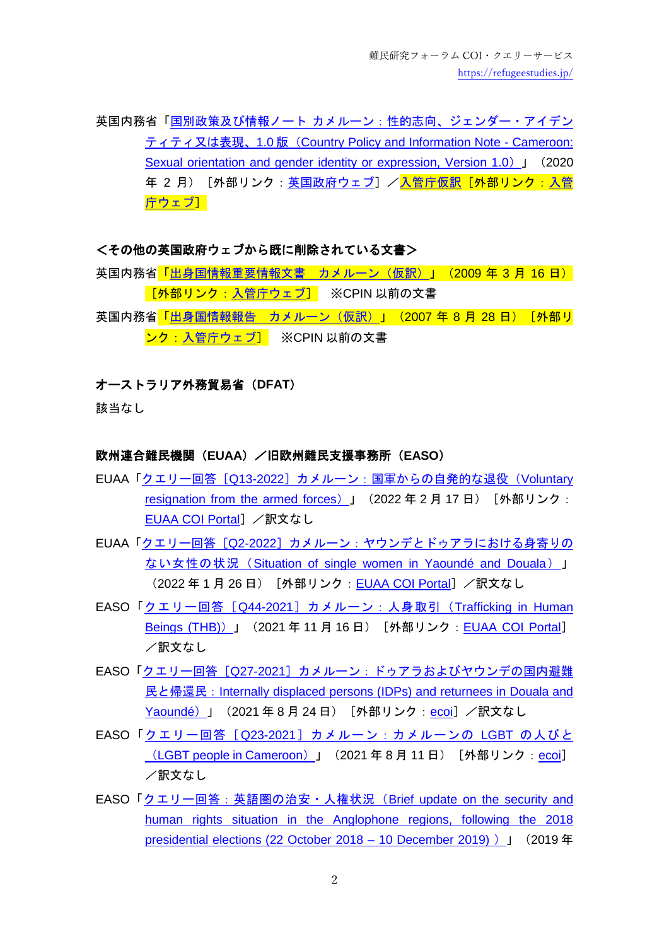英国内務省「国別政策及び情報ノート [カメルーン:性的志向、ジェンダー・アイデン](https://assets.publishing.service.gov.uk/government/uploads/system/uploads/attachment_data/file/865882/Cameroon_-_SOGIE_-_CPIN_-_v1.0__Final_Feb_20__Gov.uk.pdf) ティティ又は表現、1.0 版([Country Policy and Information Note -](https://assets.publishing.service.gov.uk/government/uploads/system/uploads/attachment_data/file/865882/Cameroon_-_SOGIE_-_CPIN_-_v1.0__Final_Feb_20__Gov.uk.pdf) Cameroon: [Sexual orientation and gender identity or expression, Version 1.0](https://assets.publishing.service.gov.uk/government/uploads/system/uploads/attachment_data/file/865882/Cameroon_-_SOGIE_-_CPIN_-_v1.0__Final_Feb_20__Gov.uk.pdf)) J (2020) 年 2 月) [外部リンク[:英国政府ウェブ\]](https://www.gov.uk/government/collections/country-policy-and-information-notes)/<mark>入管庁仮訳[外部リンク[:入管](https://www.moj.go.jp/isa/publications/materials/nyuukokukanri03_00045.html)</mark> [庁ウェブ\]](https://www.moj.go.jp/isa/publications/materials/nyuukokukanri03_00045.html)

#### <その他の英国政府ウェブから既に削除されている文書>

英国内務省[「出身国情報重要情報文書](https://www.moj.go.jp/isa/publications/materials/nyuukokukanri03_00059.html) カメルーン(仮訳)」(2009 年 3 月 16 日)  $\overline{\phantom{a}$ 【外部リンク:入管庁ウェブ】 ※CPIN 以前の文書

英国内務省「出身国情報報告」[カメルーン\(仮訳\)」](https://www.moj.go.jp/isa/publications/materials/nyuukokukanri03_00059.html)(2007 年 8 月 28 日)[外部リ ンク[:入管庁ウェブ\]](https://www.moj.go.jp/isa/publications/materials/nyuukokukanri03_00045.html) ※CPIN 以前の文書

## オーストラリア外務貿易省(**DFAT**)

該当なし

### 欧州連合難民機関(**EUAA**)/旧欧州難民支援事務所(**EASO**)

- EUAA「クエリー回答「Q13-2022[\]カメルーン:国軍からの自発的な退役\(](https://coi.euaa.europa.eu/administration/easo/PLib/2022_02_Q13_EUAA_COI_Query_Response_Voluntary%20resignation_CAMEROON.pdf)Voluntary [resignation from the armed forces](https://coi.euaa.europa.eu/administration/easo/PLib/2022_02_Q13_EUAA_COI_Query_Response_Voluntary%20resignation_CAMEROON.pdf)) 」 (2022年2月17日) [外部リンク: [EUAA COI Portal](https://coi.euaa.europa.eu/Pages/home.aspx)] /訳文なし
- EUAA「クエリー回答 [Q2-2022] カメルーン:ヤウンデとドゥアラにおける身寄りの ない女性の状況 ([Situation of single women in Yaoundé and Douala](https://coi.euaa.europa.eu/administration/easo/PLib/2022_01_Q2_EUAA_COI_Query_Response_CAMEROON_Single_Women.pdf))」 (2022年1月26日) [外部リンク: [EUAA COI Portal](https://coi.euaa.europa.eu/Pages/home.aspx)] /訳文なし
- EASO「クエリー回答 [Q44-2021] カメルーン:人身取引 (Trafficking in Human [Beings \(THB\)](https://coi.euaa.europa.eu/administration/easo/PLib/2021_11_Q44_EASO_COI_Query_Response_THB_CAMEROON.pdf)) 」 (2021年11月16日) [外部リンク: [EUAA COI Portal](https://coi.euaa.europa.eu/Pages/home.aspx)] /訳文なし
- EASO「クエリー回答[Q27-2021[\]カメルーン:ドゥアラおよびヤウンデの国内避難](https://www.ecoi.net/en/file/local/2058902/2021_08_Q27_EASO_COI_Query_Response_CAMEROON_IDPs.pdf) 民と帰還民:[Internally displaced persons \(IDPs\) and returnees in Douala and](https://www.ecoi.net/en/file/local/2058902/2021_08_Q27_EASO_COI_Query_Response_CAMEROON_IDPs.pdf)  [Yaoundé](https://www.ecoi.net/en/file/local/2058902/2021_08_Q27_EASO_COI_Query_Response_CAMEROON_IDPs.pdf)) 」 (2021年8月24日) [外部リンク: [ecoi](https://www.ecoi.net/)] /訳文なし
- EASO「クエリー回答 [Q23-2021] カメルーン: カメルーンの LGBT の人びと ([LGBT people in Cameroon](https://www.ecoi.net/en/file/local/2058237/2021_08_Q23_EASO_COI_Query_Response_CAMEROON_LGBT.pdf))」 (2021年8月11日) [外部リンク: [ecoi](https://www.ecoi.net/)] /訳文なし
- EASO[「クエリー回答:英語圏の治安・人権状況\(](https://coi.euaa.europa.eu/administration/easo/PLib/2019_12_CAMEROON_Query_Political_Rights_Q41.pdf)Brief update on the security and [human rights situation in the Anglophone regions, following the 2018](https://coi.euaa.europa.eu/administration/easo/PLib/2019_12_CAMEROON_Query_Political_Rights_Q41.pdf)  [presidential elections \(22 October 2018 –](https://coi.euaa.europa.eu/administration/easo/PLib/2019_12_CAMEROON_Query_Political_Rights_Q41.pdf) 10 December 2019) )」(2019 年